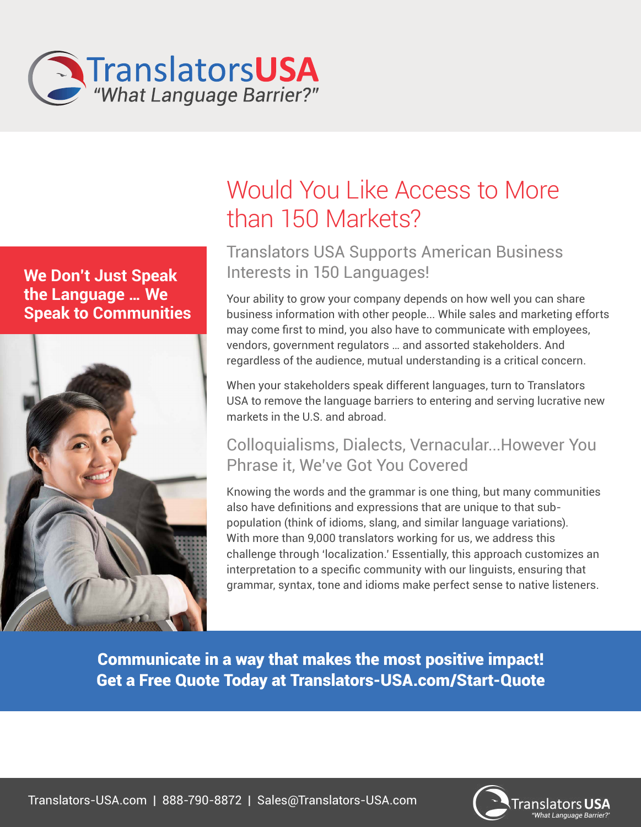

**We Don't Just Speak the Language … We Speak to Communities**



# Would You Like Access to More than 150 Markets?

## Translators USA Supports American Business Interests in 150 Languages!

Your ability to grow your company depends on how well you can share business information with other people... While sales and marketing efforts may come first to mind, you also have to communicate with employees, vendors, government regulators … and assorted stakeholders. And regardless of the audience, mutual understanding is a critical concern.

When your stakeholders speak different languages, turn to Translators USA to remove the language barriers to entering and serving lucrative new markets in the U.S. and abroad.

## Colloquialisms, Dialects, Vernacular...However You Phrase it, We've Got You Covered

Knowing the words and the grammar is one thing, but many communities also have definitions and expressions that are unique to that subpopulation (think of idioms, slang, and similar language variations). With more than 9,000 translators working for us, we address this challenge through 'localization.' Essentially, this approach customizes an interpretation to a specific community with our linguists, ensuring that grammar, syntax, tone and idioms make perfect sense to native listeners.

Communicate in a way that makes the most positive impact! Get a Free Quote Today at Translators-USA.com/Start-Quote



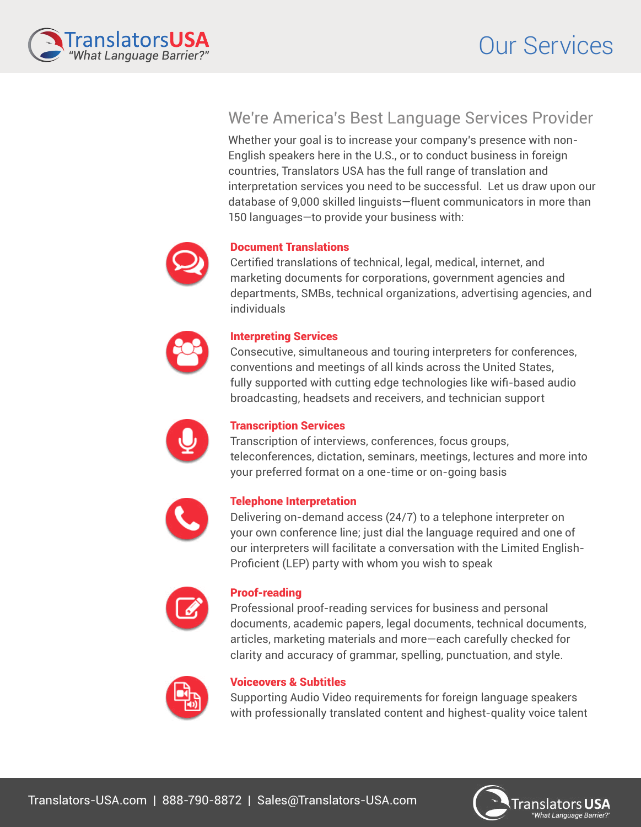

### We're America's Best Language Services Provider

Whether your goal is to increase your company's presence with non-English speakers here in the U.S., or to conduct business in foreign countries, Translators USA has the full range of translation and interpretation services you need to be successful. Let us draw upon our database of 9,000 skilled linguists—fluent communicators in more than 150 languages—to provide your business with:



#### Document Translations

Certified translations of technical, legal, medical, internet, and marketing documents for corporations, government agencies and departments, SMBs, technical organizations, advertising agencies, and individuals



#### Interpreting Services

Consecutive, simultaneous and touring interpreters for conferences, conventions and meetings of all kinds across the United States, fully supported with cutting edge technologies like wifi-based audio broadcasting, headsets and receivers, and technician support



#### Transcription Services

Transcription of interviews, conferences, focus groups, teleconferences, dictation, seminars, meetings, lectures and more into your preferred format on a one-time or on-going basis



#### Telephone Interpretation

Delivering on-demand access (24/7) to a telephone interpreter on your own conference line; just dial the language required and one of our interpreters will facilitate a conversation with the Limited English-Proficient (LEP) party with whom you wish to speak



#### Proof-reading

Professional proof-reading services for business and personal documents, academic papers, legal documents, technical documents, articles, marketing materials and more—each carefully checked for clarity and accuracy of grammar, spelling, punctuation, and style.



#### Voiceovers & Subtitles

Supporting Audio Video requirements for foreign language speakers with professionally translated content and highest-quality voice talent

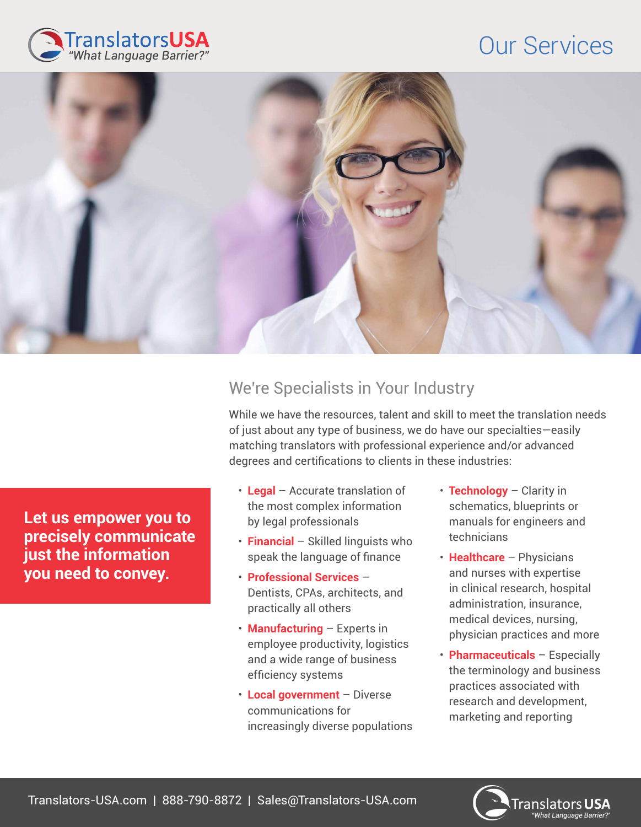## Our Services





## We're Specialists in Your Industry

While we have the resources, talent and skill to meet the translation needs of just about any type of business, we do have our specialties—easily matching translators with professional experience and/or advanced degrees and certifications to clients in these industries:

- **Legal** Accurate translation of the most complex information by legal professionals
- **Financial** Skilled linguists who speak the language of finance
- **Professional Services** Dentists, CPAs, architects, and practically all others
- **Manufacturing** Experts in employee productivity, logistics and a wide range of business efficiency systems
- **Local government** Diverse communications for increasingly diverse populations
- **Technology** Clarity in schematics, blueprints or manuals for engineers and technicians
- **Healthcare** Physicians and nurses with expertise in clinical research, hospital administration, insurance, medical devices, nursing, physician practices and more
- **Pharmaceuticals** Especially the terminology and business practices associated with research and development, marketing and reporting

**Let us empower you to precisely communicate just the information you need to convey.**